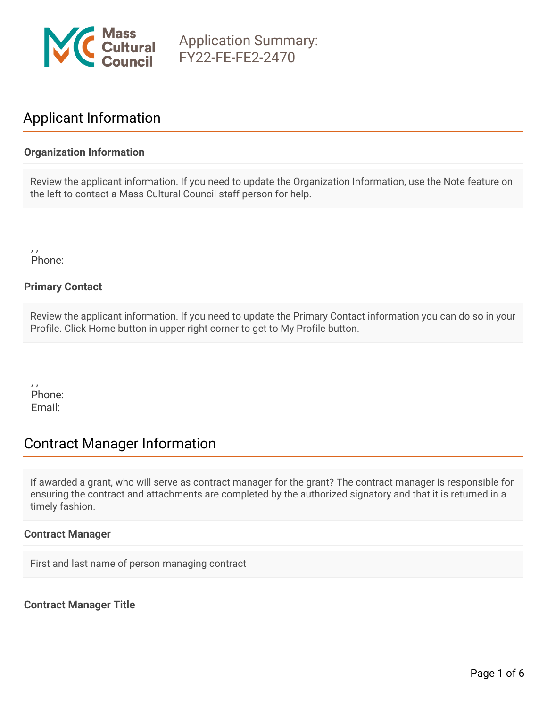

# Applicant Information

## **Organization Information**

Review the applicant information. If you need to update the Organization Information, use the Note feature on the left to contact a Mass Cultural Council staff person for help.

, , Phone:

## **Primary Contact**

Review the applicant information. If you need to update the Primary Contact information you can do so in your Profile. Click Home button in upper right corner to get to My Profile button.

, , Phone: Email:

# Contract Manager Information

If awarded a grant, who will serve as contract manager for the grant? The contract manager is responsible for ensuring the contract and attachments are completed by the authorized signatory and that it is returned in a timely fashion.

#### **Contract Manager**

First and last name of person managing contract

#### **Contract Manager Title**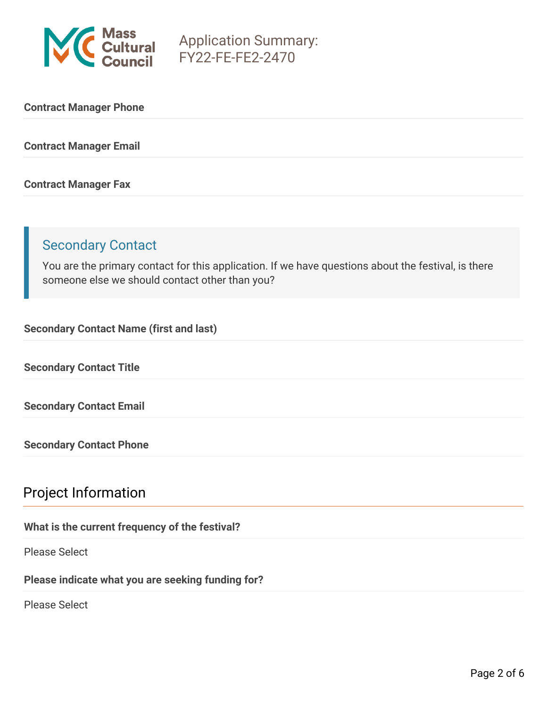

#### **Contract Manager Phone**

**Contract Manager Email**

#### **Contract Manager Fax**

# Secondary Contact

You are the primary contact for this application. If we have questions about the festival, is there someone else we should contact other than you?

**Secondary Contact Name (first and last)**

**Secondary Contact Title**

**Secondary Contact Email**

**Secondary Contact Phone**

## Project Information

## **What is the current frequency of the festival?**

Please Select

**Please indicate what you are seeking funding for?**

Please Select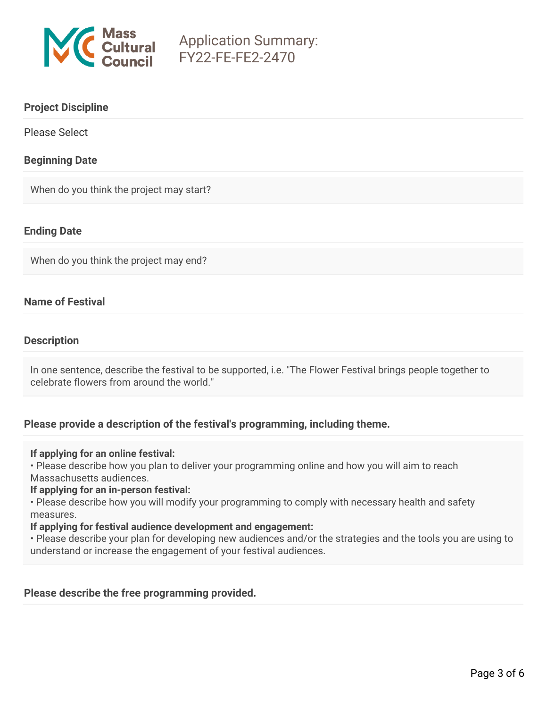

### **Project Discipline**

Please Select

### **Beginning Date**

When do you think the project may start?

## **Ending Date**

When do you think the project may end?

## **Name of Festival**

#### **Description**

In one sentence, describe the festival to be supported, i.e. "The Flower Festival brings people together to celebrate flowers from around the world."

#### **Please provide a description of the festival's programming, including theme.**

#### **If applying for an online festival:**

• Please describe how you plan to deliver your programming online and how you will aim to reach Massachusetts audiences.

#### **If applying for an in-person festival:**

• Please describe how you will modify your programming to comply with necessary health and safety measures.

#### **If applying for festival audience development and engagement:**

• Please describe your plan for developing new audiences and/or the strategies and the tools you are using to understand or increase the engagement of your festival audiences.

#### **Please describe the free programming provided.**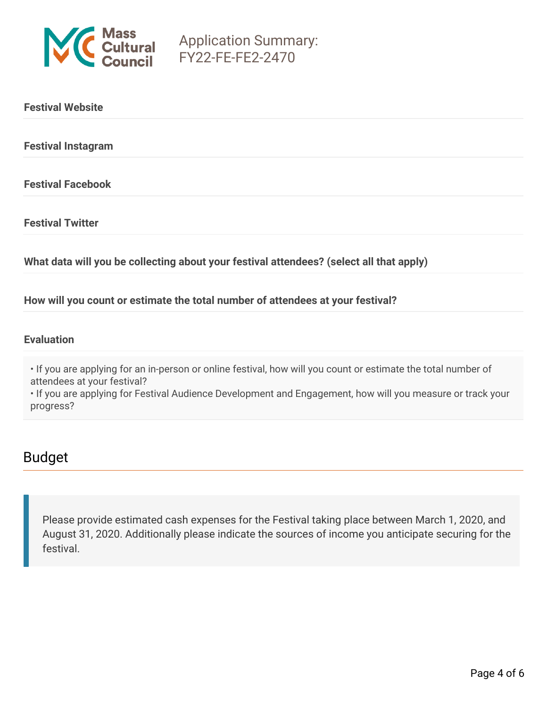

| <b>Festival Website</b>                                                                 |
|-----------------------------------------------------------------------------------------|
| <b>Festival Instagram</b>                                                               |
| <b>Festival Facebook</b>                                                                |
| <b>Festival Twitter</b>                                                                 |
| What data will you be collecting about your festival attendees? (select all that apply) |

**How will you count or estimate the total number of attendees at your festival?**

#### **Evaluation**

• If you are applying for an in-person or online festival, how will you count or estimate the total number of attendees at your festival?

• If you are applying for Festival Audience Development and Engagement, how will you measure or track your progress?

## Budget

Please provide estimated cash expenses for the Festival taking place between March 1, 2020, and August 31, 2020. Additionally please indicate the sources of income you anticipate securing for the festival.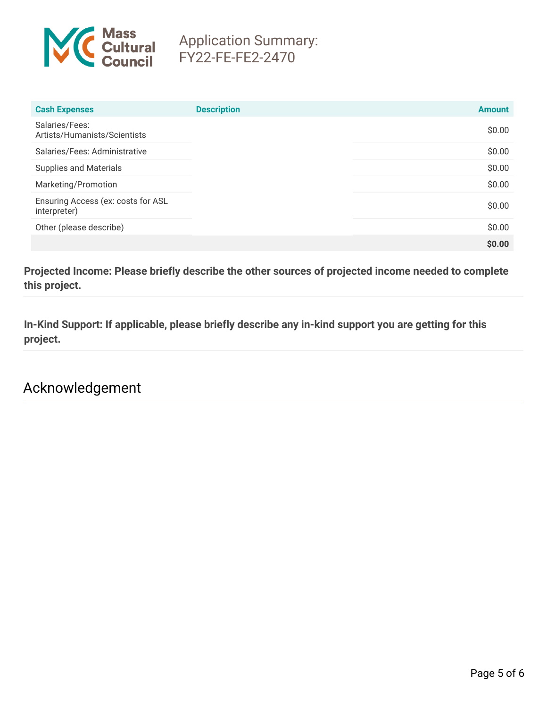

| <b>Cash Expenses</b>                               | <b>Description</b> | <b>Amount</b> |
|----------------------------------------------------|--------------------|---------------|
| Salaries/Fees:<br>Artists/Humanists/Scientists     |                    | \$0.00        |
| Salaries/Fees: Administrative                      |                    | \$0.00        |
| <b>Supplies and Materials</b>                      |                    | \$0.00        |
| Marketing/Promotion                                |                    | \$0.00        |
| Ensuring Access (ex: costs for ASL<br>interpreter) |                    | \$0.00        |
| Other (please describe)                            |                    | \$0.00        |
|                                                    |                    | \$0.00        |

**Projected Income: Please briefly describe the other sources of projected income needed to complete this project.**

**In-Kind Support: If applicable, please briefly describe any in-kind support you are getting for this project.**

Acknowledgement